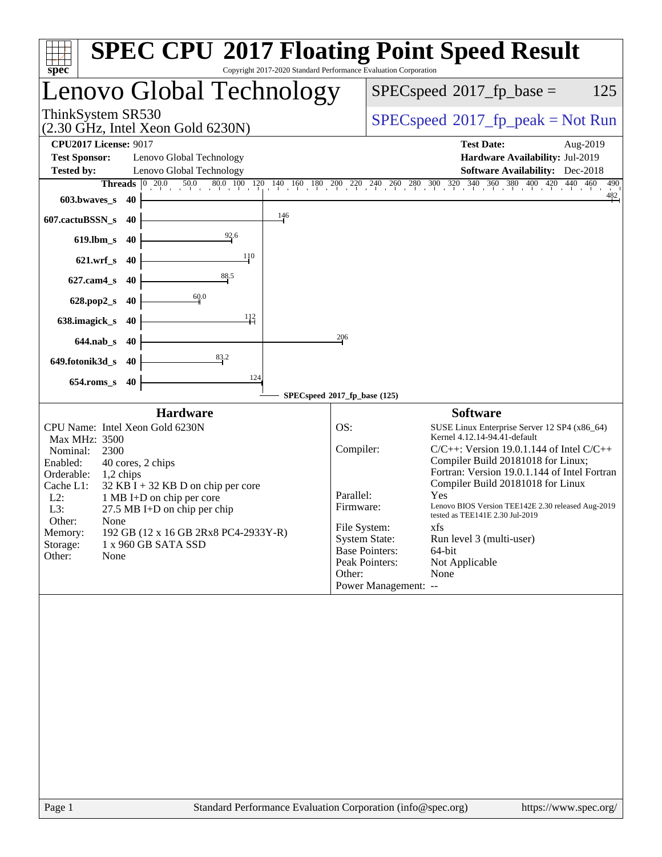| spec <sup>®</sup>                                                                        | <b>SPEC CPU®2017 Floating Point Speed Result</b><br>Copyright 2017-2020 Standard Performance Evaluation Corporation                                                                                                                                                                                                                                   |
|------------------------------------------------------------------------------------------|-------------------------------------------------------------------------------------------------------------------------------------------------------------------------------------------------------------------------------------------------------------------------------------------------------------------------------------------------------|
| Lenovo Global Technology                                                                 | $SPEC speed^{\circ}2017$ _fp_base =<br>125                                                                                                                                                                                                                                                                                                            |
| ThinkSystem SR530<br>$(2.30 \text{ GHz}, \text{Intel Xeon Gold } 6230\text{N})$          | $SPEC speed^{\circ}2017\_fp\_peak = Not Run$                                                                                                                                                                                                                                                                                                          |
| <b>CPU2017 License: 9017</b>                                                             | <b>Test Date:</b><br>Aug-2019                                                                                                                                                                                                                                                                                                                         |
| <b>Test Sponsor:</b><br>Lenovo Global Technology                                         | Hardware Availability: Jul-2019                                                                                                                                                                                                                                                                                                                       |
| <b>Tested by:</b><br>Lenovo Global Technology                                            | <b>Software Availability:</b> Dec-2018                                                                                                                                                                                                                                                                                                                |
| Threads                                                                                  | $\boxed{0\quad 20.0\qquad 50.0\qquad 80.0\quad 100\quad 120\quad 140\quad 160\quad 180\quad 200\quad 270\quad 240\quad 240\quad 260\quad 300\quad 320\quad 340\quad 360\quad 380\quad 40\quad 420\quad 440\quad 460\quad 480\quad 480\quad 480\quad 480\quad 480\quad 480\quad 480\quad 480\quad 480\quad 480\quad 480\quad 480\quad 480\quad$<br>490 |
| 603.bwaves_s<br>40                                                                       | 482                                                                                                                                                                                                                                                                                                                                                   |
| 146<br>607.cactuBSSN_s<br>40                                                             |                                                                                                                                                                                                                                                                                                                                                       |
| $\frac{92.6}{2}$<br>$619$ .lbm_s<br>40                                                   |                                                                                                                                                                                                                                                                                                                                                       |
| 110<br>$621.wrf$ <sub>S</sub><br>40                                                      |                                                                                                                                                                                                                                                                                                                                                       |
| 88.5<br>$627$ .cam $4_s$<br>40                                                           |                                                                                                                                                                                                                                                                                                                                                       |
| 60.0<br>628.pop2_s<br>40                                                                 |                                                                                                                                                                                                                                                                                                                                                       |
| 112<br>638.imagick_s<br>40                                                               |                                                                                                                                                                                                                                                                                                                                                       |
| $644$ .nab $\sf s$<br>40                                                                 | 206                                                                                                                                                                                                                                                                                                                                                   |
| 83.2<br>649.fotonik3d_s<br>40                                                            |                                                                                                                                                                                                                                                                                                                                                       |
| 124<br>$654$ .roms_s<br>40                                                               | SPECspeed®2017_fp_base (125)                                                                                                                                                                                                                                                                                                                          |
|                                                                                          |                                                                                                                                                                                                                                                                                                                                                       |
| <b>Hardware</b><br>CPU Name: Intel Xeon Gold 6230N<br>Max MHz: 3500                      | <b>Software</b><br>OS:<br>SUSE Linux Enterprise Server 12 SP4 (x86_64)<br>Kernel 4.12.14-94.41-default                                                                                                                                                                                                                                                |
| Nominal:<br>2300                                                                         | Compiler:<br>$C/C++$ : Version 19.0.1.144 of Intel $C/C++$                                                                                                                                                                                                                                                                                            |
| Enabled:<br>40 cores, 2 chips<br>Orderable:<br>1,2 chips                                 | Compiler Build 20181018 for Linux;<br>Fortran: Version 19.0.1.144 of Intel Fortran                                                                                                                                                                                                                                                                    |
| Cache L1:<br>$32$ KB I + 32 KB D on chip per core<br>$L2$ :<br>1 MB I+D on chip per core | Compiler Build 20181018 for Linux<br>Parallel:<br>Yes                                                                                                                                                                                                                                                                                                 |
| L3:<br>27.5 MB I+D on chip per chip                                                      | Lenovo BIOS Version TEE142E 2.30 released Aug-2019<br>Firmware:<br>tested as TEE141E 2.30 Jul-2019                                                                                                                                                                                                                                                    |
| Other:<br>None<br>192 GB (12 x 16 GB 2Rx8 PC4-2933Y-R)<br>Memory:                        | File System:<br>xfs                                                                                                                                                                                                                                                                                                                                   |
| 1 x 960 GB SATA SSD<br>Storage:                                                          | <b>System State:</b><br>Run level 3 (multi-user)<br><b>Base Pointers:</b><br>64-bit                                                                                                                                                                                                                                                                   |
| Other:<br>None                                                                           | Peak Pointers:<br>Not Applicable                                                                                                                                                                                                                                                                                                                      |
|                                                                                          | None<br>Other:                                                                                                                                                                                                                                                                                                                                        |
|                                                                                          | Power Management: --                                                                                                                                                                                                                                                                                                                                  |
|                                                                                          |                                                                                                                                                                                                                                                                                                                                                       |
|                                                                                          |                                                                                                                                                                                                                                                                                                                                                       |
|                                                                                          |                                                                                                                                                                                                                                                                                                                                                       |
|                                                                                          |                                                                                                                                                                                                                                                                                                                                                       |
|                                                                                          |                                                                                                                                                                                                                                                                                                                                                       |
|                                                                                          |                                                                                                                                                                                                                                                                                                                                                       |
|                                                                                          |                                                                                                                                                                                                                                                                                                                                                       |
|                                                                                          |                                                                                                                                                                                                                                                                                                                                                       |
|                                                                                          |                                                                                                                                                                                                                                                                                                                                                       |
|                                                                                          |                                                                                                                                                                                                                                                                                                                                                       |
|                                                                                          |                                                                                                                                                                                                                                                                                                                                                       |
|                                                                                          |                                                                                                                                                                                                                                                                                                                                                       |
|                                                                                          |                                                                                                                                                                                                                                                                                                                                                       |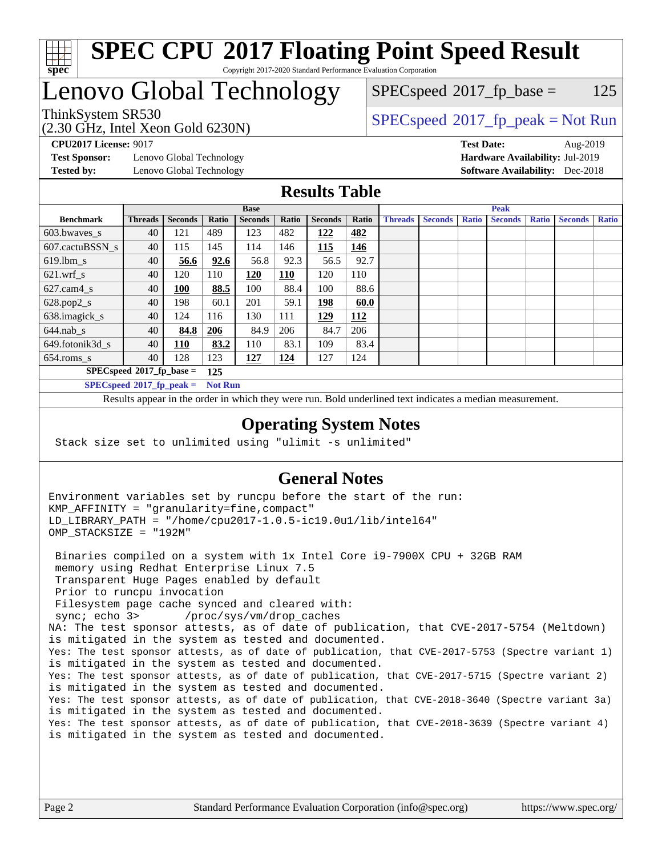

## **[SPEC CPU](http://www.spec.org/auto/cpu2017/Docs/result-fields.html#SPECCPU2017FloatingPointSpeedResult)[2017 Floating Point Speed Result](http://www.spec.org/auto/cpu2017/Docs/result-fields.html#SPECCPU2017FloatingPointSpeedResult)** Copyright 2017-2020 Standard Performance Evaluation Corporation

# Lenovo Global Technology

(2.30 GHz, Intel Xeon Gold 6230N)

 $SPEC speed^{\circ}2017\_fp\_base = 125$ 

## ThinkSystem SR530<br>  $SPEC speed^{\circ}2017$  [p\_peak = Not Run

**[Test Sponsor:](http://www.spec.org/auto/cpu2017/Docs/result-fields.html#TestSponsor)** Lenovo Global Technology **[Hardware Availability:](http://www.spec.org/auto/cpu2017/Docs/result-fields.html#HardwareAvailability)** Jul-2019 **[Tested by:](http://www.spec.org/auto/cpu2017/Docs/result-fields.html#Testedby)** Lenovo Global Technology **[Software Availability:](http://www.spec.org/auto/cpu2017/Docs/result-fields.html#SoftwareAvailability)** Dec-2018

**[CPU2017 License:](http://www.spec.org/auto/cpu2017/Docs/result-fields.html#CPU2017License)** 9017 **[Test Date:](http://www.spec.org/auto/cpu2017/Docs/result-fields.html#TestDate)** Aug-2019

## **[Results Table](http://www.spec.org/auto/cpu2017/Docs/result-fields.html#ResultsTable)**

|                                    | <b>Base</b>    |                |                |                |            | <b>Peak</b>    |       |                |                |              |                |              |                |              |
|------------------------------------|----------------|----------------|----------------|----------------|------------|----------------|-------|----------------|----------------|--------------|----------------|--------------|----------------|--------------|
| <b>Benchmark</b>                   | <b>Threads</b> | <b>Seconds</b> | Ratio          | <b>Seconds</b> | Ratio      | <b>Seconds</b> | Ratio | <b>Threads</b> | <b>Seconds</b> | <b>Ratio</b> | <b>Seconds</b> | <b>Ratio</b> | <b>Seconds</b> | <b>Ratio</b> |
| $603.bwaves$ s                     | 40             | 121            | 489            | 123            | 482        | 122            | 482   |                |                |              |                |              |                |              |
| 607.cactuBSSN s                    | 40             | 115            | 145            | 114            | 146        | 115            | 146   |                |                |              |                |              |                |              |
| $619.1$ bm s                       | 40             | 56.6           | 92.6           | 56.8           | 92.3       | 56.5           | 92.7  |                |                |              |                |              |                |              |
| $621$ .wrf s                       | 40             | 120            | 110            | 120            | <u>110</u> | 120            | 110   |                |                |              |                |              |                |              |
| $627$ .cam $4 \text{ s}$           | 40             | 100            | 88.5           | 100            | 88.4       | 100            | 88.6  |                |                |              |                |              |                |              |
| $628.pop2_s$                       | 40             | 198            | 60.1           | 201            | 59.1       | 198            | 60.0  |                |                |              |                |              |                |              |
| 638.imagick_s                      | 40             | 124            | 116            | 130            | 111        | 129            | 112   |                |                |              |                |              |                |              |
| $644$ .nab s                       | 40             | 84.8           | 206            | 84.9           | 206        | 84.7           | 206   |                |                |              |                |              |                |              |
| 649.fotonik3d s                    | 40             | 110            | 83.2           | 110            | 83.1       | 109            | 83.4  |                |                |              |                |              |                |              |
| $654$ .roms_s                      | 40             | 128            | 123            | 127            | <u>124</u> | 127            | 124   |                |                |              |                |              |                |              |
| $SPECspeed*2017_fp\_base =$<br>125 |                |                |                |                |            |                |       |                |                |              |                |              |                |              |
| $SPECspeed*2017_fp\_peak =$        |                |                | <b>Not Run</b> |                |            |                |       |                |                |              |                |              |                |              |

Results appear in the [order in which they were run.](http://www.spec.org/auto/cpu2017/Docs/result-fields.html#RunOrder) Bold underlined text [indicates a median measurement](http://www.spec.org/auto/cpu2017/Docs/result-fields.html#Median).

## **[Operating System Notes](http://www.spec.org/auto/cpu2017/Docs/result-fields.html#OperatingSystemNotes)**

Stack size set to unlimited using "ulimit -s unlimited"

## **[General Notes](http://www.spec.org/auto/cpu2017/Docs/result-fields.html#GeneralNotes)**

Environment variables set by runcpu before the start of the run: KMP\_AFFINITY = "granularity=fine,compact" LD\_LIBRARY\_PATH = "/home/cpu2017-1.0.5-ic19.0u1/lib/intel64" OMP\_STACKSIZE = "192M"

 Binaries compiled on a system with 1x Intel Core i9-7900X CPU + 32GB RAM memory using Redhat Enterprise Linux 7.5 Transparent Huge Pages enabled by default Prior to runcpu invocation Filesystem page cache synced and cleared with: sync; echo 3> /proc/sys/vm/drop\_caches NA: The test sponsor attests, as of date of publication, that CVE-2017-5754 (Meltdown) is mitigated in the system as tested and documented. Yes: The test sponsor attests, as of date of publication, that CVE-2017-5753 (Spectre variant 1) is mitigated in the system as tested and documented. Yes: The test sponsor attests, as of date of publication, that CVE-2017-5715 (Spectre variant 2) is mitigated in the system as tested and documented. Yes: The test sponsor attests, as of date of publication, that CVE-2018-3640 (Spectre variant 3a) is mitigated in the system as tested and documented. Yes: The test sponsor attests, as of date of publication, that CVE-2018-3639 (Spectre variant 4) is mitigated in the system as tested and documented.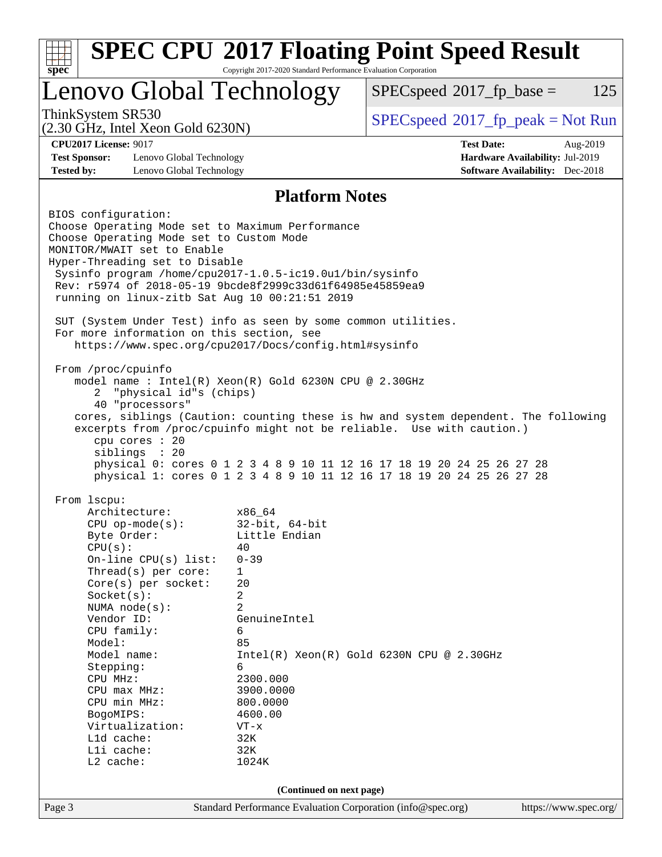| Lenovo Global Technology                                                                                                                                                                                                                                                                                      |                       | $SPEC speed^{\circ}2017$ fp base =<br>125                                                                                                       |
|---------------------------------------------------------------------------------------------------------------------------------------------------------------------------------------------------------------------------------------------------------------------------------------------------------------|-----------------------|-------------------------------------------------------------------------------------------------------------------------------------------------|
| ThinkSystem SR530<br>$(2.30 \text{ GHz}, \text{Intel Xeon Gold } 6230\text{N})$                                                                                                                                                                                                                               |                       | $SPEC speed^{\circ}2017\_fp\_peak = Not Run$                                                                                                    |
| <b>CPU2017 License: 9017</b>                                                                                                                                                                                                                                                                                  |                       | <b>Test Date:</b><br>Aug-2019                                                                                                                   |
| <b>Test Sponsor:</b><br>Lenovo Global Technology<br><b>Tested by:</b><br>Lenovo Global Technology                                                                                                                                                                                                             |                       | Hardware Availability: Jul-2019<br><b>Software Availability:</b> Dec-2018                                                                       |
|                                                                                                                                                                                                                                                                                                               | <b>Platform Notes</b> |                                                                                                                                                 |
| BIOS configuration:<br>Choose Operating Mode set to Maximum Performance<br>Choose Operating Mode set to Custom Mode<br>MONITOR/MWAIT set to Enable<br>Hyper-Threading set to Disable<br>Sysinfo program /home/cpu2017-1.0.5-ic19.0ul/bin/sysinfo<br>Rev: r5974 of 2018-05-19 9bcde8f2999c33d61f64985e45859ea9 |                       |                                                                                                                                                 |
| running on linux-zitb Sat Aug 10 00:21:51 2019<br>SUT (System Under Test) info as seen by some common utilities.<br>For more information on this section, see<br>https://www.spec.org/cpu2017/Docs/config.html#sysinfo                                                                                        |                       |                                                                                                                                                 |
| From /proc/cpuinfo<br>model name : Intel(R) Xeon(R) Gold 6230N CPU @ 2.30GHz<br>"physical id"s (chips)<br>2<br>40 "processors"                                                                                                                                                                                |                       | cores, siblings (Caution: counting these is hw and system dependent. The following                                                              |
| cpu cores : 20<br>siblings : 20                                                                                                                                                                                                                                                                               |                       | excerpts from /proc/cpuinfo might not be reliable. Use with caution.)<br>physical 0: cores 0 1 2 3 4 8 9 10 11 12 16 17 18 19 20 24 25 26 27 28 |
| From 1scpu:<br>Architecture:                                                                                                                                                                                                                                                                                  | x86_64                | physical 1: cores 0 1 2 3 4 8 9 10 11 12 16 17 18 19 20 24 25 26 27 28                                                                          |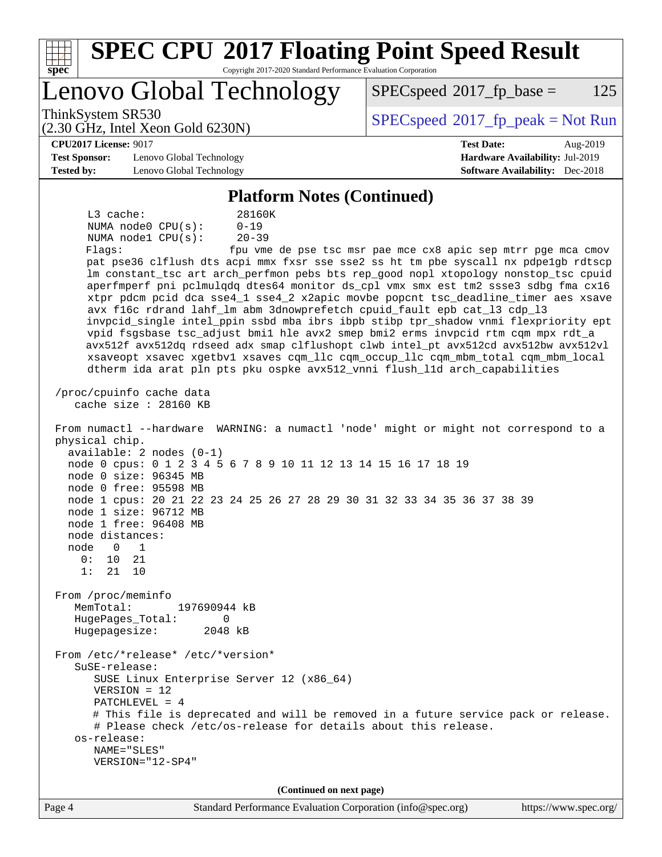| <b>SPEC CPU®2017 Floating Point Speed Result</b><br>Copyright 2017-2020 Standard Performance Evaluation Corporation<br>spec <sup>®</sup>                     |                                                               |
|--------------------------------------------------------------------------------------------------------------------------------------------------------------|---------------------------------------------------------------|
| Lenovo Global Technology                                                                                                                                     | $SPEC speed^{\circ}2017$ _fp_base =<br>125                    |
| ThinkSystem SR530<br>$(2.30 \text{ GHz}, \text{Intel Xeon Gold } 6230\text{N})$                                                                              | $SPEC speed$ <sup>®</sup> 2017_fp_peak = Not Run              |
| <b>CPU2017 License: 9017</b>                                                                                                                                 | <b>Test Date:</b><br>Aug-2019                                 |
| <b>Test Sponsor:</b><br>Lenovo Global Technology                                                                                                             | Hardware Availability: Jul-2019                               |
| <b>Tested by:</b><br>Lenovo Global Technology                                                                                                                | <b>Software Availability:</b> Dec-2018                        |
| <b>Platform Notes (Continued)</b>                                                                                                                            |                                                               |
| $L3$ cache:<br>28160K                                                                                                                                        |                                                               |
| NUMA node0 CPU(s):<br>$0 - 19$                                                                                                                               |                                                               |
| $20 - 39$<br>NUMA nodel CPU(s):                                                                                                                              |                                                               |
| Flags:                                                                                                                                                       | fpu vme de pse tsc msr pae mce cx8 apic sep mtrr pge mca cmov |
| pat pse36 clflush dts acpi mmx fxsr sse sse2 ss ht tm pbe syscall nx pdpelgb rdtscp                                                                          |                                                               |
| lm constant_tsc art arch_perfmon pebs bts rep_good nopl xtopology nonstop_tsc cpuid                                                                          |                                                               |
| aperfmperf pni pclmulqdq dtes64 monitor ds_cpl vmx smx est tm2 ssse3 sdbg fma cx16                                                                           |                                                               |
| xtpr pdcm pcid dca sse4_1 sse4_2 x2apic movbe popcnt tsc_deadline_timer aes xsave<br>avx f16c rdrand lahf_lm abm 3dnowprefetch cpuid_fault epb cat_13 cdp_13 |                                                               |
| invpcid_single intel_ppin ssbd mba ibrs ibpb stibp tpr_shadow vnmi flexpriority ept                                                                          |                                                               |
| vpid fsgsbase tsc_adjust bmil hle avx2 smep bmi2 erms invpcid rtm cqm mpx rdt_a                                                                              |                                                               |
| avx512f avx512dq rdseed adx smap clflushopt clwb intel_pt avx512cd avx512bw avx512vl                                                                         |                                                               |
| xsaveopt xsavec xgetbvl xsaves cqm_llc cqm_occup_llc cqm_mbm_total cqm_mbm_local                                                                             |                                                               |
| dtherm ida arat pln pts pku ospke avx512_vnni flush_lld arch_capabilities                                                                                    |                                                               |
| /proc/cpuinfo cache data<br>cache size $: 28160$ KB                                                                                                          |                                                               |
| From numactl --hardware WARNING: a numactl 'node' might or might not correspond to a<br>physical chip.<br>$available: 2 nodes (0-1)$                         |                                                               |
| node 0 cpus: 0 1 2 3 4 5 6 7 8 9 10 11 12 13 14 15 16 17 18 19<br>node 0 size: 96345 MB                                                                      |                                                               |
| node 0 free: 95598 MB                                                                                                                                        |                                                               |
| node 1 cpus: 20 21 22 23 24 25 26 27 28 29 30 31 32 33 34 35 36 37 38 39<br>node 1 size: 96712 MB                                                            |                                                               |
| node 1 free: 96408 MB                                                                                                                                        |                                                               |
| node distances:                                                                                                                                              |                                                               |
| node<br>$\Omega$<br>1                                                                                                                                        |                                                               |
| 0 :<br>21<br>10                                                                                                                                              |                                                               |
| 1:<br>21<br>10                                                                                                                                               |                                                               |
| From /proc/meminfo                                                                                                                                           |                                                               |
| MemTotal:<br>197690944 kB                                                                                                                                    |                                                               |
| HugePages_Total:<br>0                                                                                                                                        |                                                               |
| Hugepagesize:<br>2048 kB                                                                                                                                     |                                                               |
| From /etc/*release* /etc/*version*<br>$S$ uSE-release:                                                                                                       |                                                               |
| SUSE Linux Enterprise Server 12 (x86_64)                                                                                                                     |                                                               |
| $VERSION = 12$                                                                                                                                               |                                                               |
| PATCHLEVEL = 4                                                                                                                                               |                                                               |
| # This file is deprecated and will be removed in a future service pack or release.<br># Please check /etc/os-release for details about this release.         |                                                               |
| os-release:                                                                                                                                                  |                                                               |
| NAME="SLES"                                                                                                                                                  |                                                               |
| VERSION="12-SP4"                                                                                                                                             |                                                               |
|                                                                                                                                                              |                                                               |
| (Continued on next page)                                                                                                                                     |                                                               |
| Page 4<br>Standard Performance Evaluation Corporation (info@spec.org)                                                                                        | https://www.spec.org/                                         |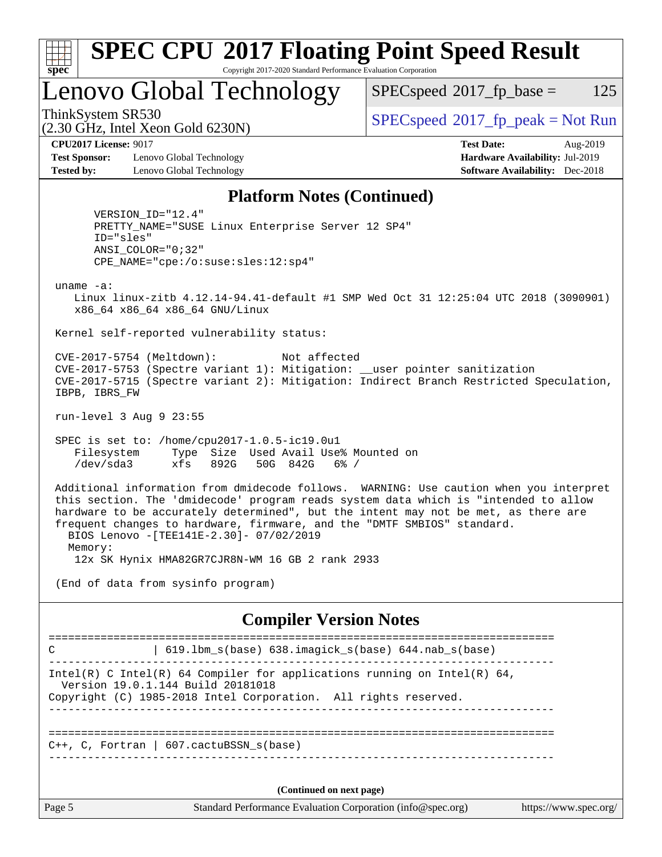| x<br>t.<br>L |  |  |  |  |  |
|--------------|--|--|--|--|--|

## **[SPEC CPU](http://www.spec.org/auto/cpu2017/Docs/result-fields.html#SPECCPU2017FloatingPointSpeedResult)[2017 Floating Point Speed Result](http://www.spec.org/auto/cpu2017/Docs/result-fields.html#SPECCPU2017FloatingPointSpeedResult)** Copyright 2017-2020 Standard Performance Evaluation Corporation

# Lenovo Global Technology

 $SPECspeed^{\circledcirc}2017_fp\_base = 125$  $SPECspeed^{\circledcirc}2017_fp\_base = 125$ 

(2.30 GHz, Intel Xeon Gold 6230N)

ThinkSystem SR530<br>  $SPEC speed^{\circ}2017$  [p\_peak = Not Run

**[Test Sponsor:](http://www.spec.org/auto/cpu2017/Docs/result-fields.html#TestSponsor)** Lenovo Global Technology **[Hardware Availability:](http://www.spec.org/auto/cpu2017/Docs/result-fields.html#HardwareAvailability)** Jul-2019 **[Tested by:](http://www.spec.org/auto/cpu2017/Docs/result-fields.html#Testedby)** Lenovo Global Technology **[Software Availability:](http://www.spec.org/auto/cpu2017/Docs/result-fields.html#SoftwareAvailability)** Dec-2018

**[CPU2017 License:](http://www.spec.org/auto/cpu2017/Docs/result-fields.html#CPU2017License)** 9017 **[Test Date:](http://www.spec.org/auto/cpu2017/Docs/result-fields.html#TestDate)** Aug-2019

## **[Platform Notes \(Continued\)](http://www.spec.org/auto/cpu2017/Docs/result-fields.html#PlatformNotes)**

 VERSION\_ID="12.4" PRETTY\_NAME="SUSE Linux Enterprise Server 12 SP4" ID="sles" ANSI\_COLOR="0;32" CPE\_NAME="cpe:/o:suse:sles:12:sp4"

uname -a:

 Linux linux-zitb 4.12.14-94.41-default #1 SMP Wed Oct 31 12:25:04 UTC 2018 (3090901) x86\_64 x86\_64 x86\_64 GNU/Linux

Kernel self-reported vulnerability status:

 CVE-2017-5754 (Meltdown): Not affected CVE-2017-5753 (Spectre variant 1): Mitigation: \_\_user pointer sanitization CVE-2017-5715 (Spectre variant 2): Mitigation: Indirect Branch Restricted Speculation, IBPB, IBRS\_FW

run-level 3 Aug 9 23:55

 SPEC is set to: /home/cpu2017-1.0.5-ic19.0u1 Filesystem Type Size Used Avail Use% Mounted on /dev/sda3 xfs 892G 50G 842G 6% /

 Additional information from dmidecode follows. WARNING: Use caution when you interpret this section. The 'dmidecode' program reads system data which is "intended to allow hardware to be accurately determined", but the intent may not be met, as there are frequent changes to hardware, firmware, and the "DMTF SMBIOS" standard. BIOS Lenovo -[TEE141E-2.30]- 07/02/2019 Memory:

12x SK Hynix HMA82GR7CJR8N-WM 16 GB 2 rank 2933

(End of data from sysinfo program)

### **[Compiler Version Notes](http://www.spec.org/auto/cpu2017/Docs/result-fields.html#CompilerVersionNotes)**

Page 5 Standard Performance Evaluation Corporation [\(info@spec.org\)](mailto:info@spec.org) <https://www.spec.org/> ============================================================================== C | 619.lbm\_s(base) 638.imagick\_s(base) 644.nab\_s(base) ------------------------------------------------------------------------------ Intel(R) C Intel(R) 64 Compiler for applications running on Intel(R)  $64$ , Version 19.0.1.144 Build 20181018 Copyright (C) 1985-2018 Intel Corporation. All rights reserved. ------------------------------------------------------------------------------ ============================================================================== C++, C, Fortran | 607.cactuBSSN\_s(base) ------------------------------------------------------------------------------ **(Continued on next page)**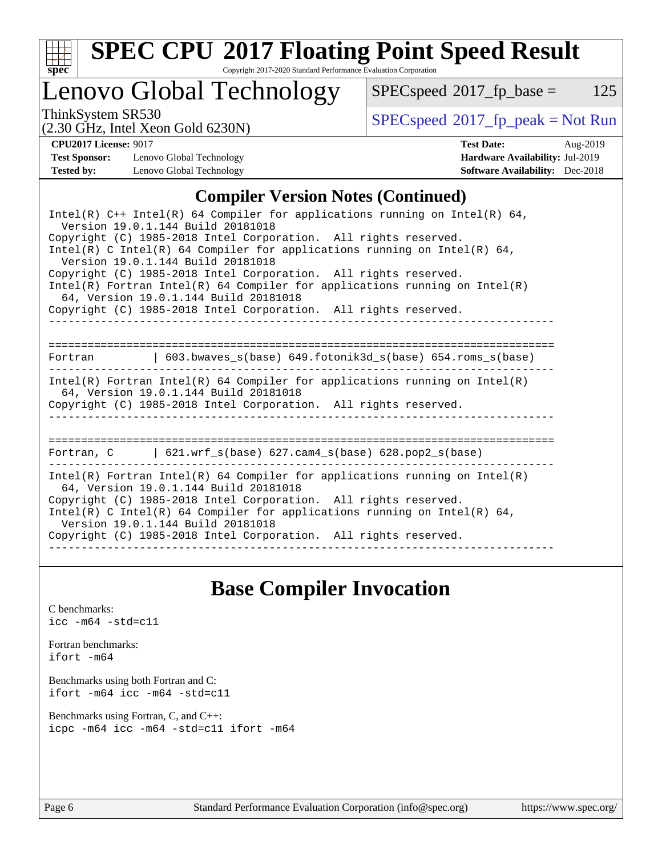

# **[SPEC CPU](http://www.spec.org/auto/cpu2017/Docs/result-fields.html#SPECCPU2017FloatingPointSpeedResult)[2017 Floating Point Speed Result](http://www.spec.org/auto/cpu2017/Docs/result-fields.html#SPECCPU2017FloatingPointSpeedResult)**

Copyright 2017-2020 Standard Performance Evaluation Corporation

# Lenovo Global Technology

 $SPECspeed^{\circ}2017_fp\_base = 125$  $SPECspeed^{\circ}2017_fp\_base = 125$ 

(2.30 GHz, Intel Xeon Gold 6230N)

ThinkSystem SR530<br>  $\begin{array}{c}\n\text{SPEC speed} \text{?}2017\_fp\_peak = Not Run \\
\text{C 30 GHz\_Intel-Yoon Gold }6230 \text{N}\n\end{array}$ 

**[Test Sponsor:](http://www.spec.org/auto/cpu2017/Docs/result-fields.html#TestSponsor)** Lenovo Global Technology **[Hardware Availability:](http://www.spec.org/auto/cpu2017/Docs/result-fields.html#HardwareAvailability)** Jul-2019 **[Tested by:](http://www.spec.org/auto/cpu2017/Docs/result-fields.html#Testedby)** Lenovo Global Technology **[Software Availability:](http://www.spec.org/auto/cpu2017/Docs/result-fields.html#SoftwareAvailability)** Dec-2018

**[CPU2017 License:](http://www.spec.org/auto/cpu2017/Docs/result-fields.html#CPU2017License)** 9017 **[Test Date:](http://www.spec.org/auto/cpu2017/Docs/result-fields.html#TestDate)** Aug-2019

## **[Compiler Version Notes \(Continued\)](http://www.spec.org/auto/cpu2017/Docs/result-fields.html#CompilerVersionNotes)**

| Intel(R) $C++$ Intel(R) 64 Compiler for applications running on Intel(R) 64,<br>Version 19.0.1.144 Build 20181018                                                                                                                                                                                                                                                              |
|--------------------------------------------------------------------------------------------------------------------------------------------------------------------------------------------------------------------------------------------------------------------------------------------------------------------------------------------------------------------------------|
| Copyright (C) 1985-2018 Intel Corporation. All rights reserved.<br>Intel(R) C Intel(R) 64 Compiler for applications running on Intel(R) 64,<br>Version 19.0.1.144 Build 20181018                                                                                                                                                                                               |
| Copyright (C) 1985-2018 Intel Corporation. All rights reserved.<br>$Intel(R)$ Fortran Intel(R) 64 Compiler for applications running on Intel(R)<br>64, Version 19.0.1.144 Build 20181018                                                                                                                                                                                       |
| Copyright (C) 1985-2018 Intel Corporation. All rights reserved.                                                                                                                                                                                                                                                                                                                |
| Fortran (603.bwaves s(base) 649.fotonik3d s(base) 654.roms s(base)                                                                                                                                                                                                                                                                                                             |
| $Intel(R)$ Fortran Intel(R) 64 Compiler for applications running on Intel(R)<br>64, Version 19.0.1.144 Build 20181018<br>Copyright (C) 1985-2018 Intel Corporation. All rights reserved.                                                                                                                                                                                       |
| Fortran, $C = \begin{bmatrix} 621.wrf\_s(base) & 627.cam4_s(base) & 628.pop2_s(base) \end{bmatrix}$                                                                                                                                                                                                                                                                            |
| $Intel(R)$ Fortran Intel(R) 64 Compiler for applications running on Intel(R)<br>64, Version 19.0.1.144 Build 20181018<br>Copyright (C) 1985-2018 Intel Corporation. All rights reserved.<br>$Intel(R)$ C Intel(R) 64 Compiler for applications running on Intel(R) 64,<br>Version 19.0.1.144 Build 20181018<br>Copyright (C) 1985-2018 Intel Corporation. All rights reserved. |

# **[Base Compiler Invocation](http://www.spec.org/auto/cpu2017/Docs/result-fields.html#BaseCompilerInvocation)**

[C benchmarks](http://www.spec.org/auto/cpu2017/Docs/result-fields.html#Cbenchmarks): [icc -m64 -std=c11](http://www.spec.org/cpu2017/results/res2019q3/cpu2017-20190902-17579.flags.html#user_CCbase_intel_icc_64bit_c11_33ee0cdaae7deeeab2a9725423ba97205ce30f63b9926c2519791662299b76a0318f32ddfffdc46587804de3178b4f9328c46fa7c2b0cd779d7a61945c91cd35)

[Fortran benchmarks](http://www.spec.org/auto/cpu2017/Docs/result-fields.html#Fortranbenchmarks): [ifort -m64](http://www.spec.org/cpu2017/results/res2019q3/cpu2017-20190902-17579.flags.html#user_FCbase_intel_ifort_64bit_24f2bb282fbaeffd6157abe4f878425411749daecae9a33200eee2bee2fe76f3b89351d69a8130dd5949958ce389cf37ff59a95e7a40d588e8d3a57e0c3fd751)

[Benchmarks using both Fortran and C](http://www.spec.org/auto/cpu2017/Docs/result-fields.html#BenchmarksusingbothFortranandC): [ifort -m64](http://www.spec.org/cpu2017/results/res2019q3/cpu2017-20190902-17579.flags.html#user_CC_FCbase_intel_ifort_64bit_24f2bb282fbaeffd6157abe4f878425411749daecae9a33200eee2bee2fe76f3b89351d69a8130dd5949958ce389cf37ff59a95e7a40d588e8d3a57e0c3fd751) [icc -m64 -std=c11](http://www.spec.org/cpu2017/results/res2019q3/cpu2017-20190902-17579.flags.html#user_CC_FCbase_intel_icc_64bit_c11_33ee0cdaae7deeeab2a9725423ba97205ce30f63b9926c2519791662299b76a0318f32ddfffdc46587804de3178b4f9328c46fa7c2b0cd779d7a61945c91cd35)

[Benchmarks using Fortran, C, and C++:](http://www.spec.org/auto/cpu2017/Docs/result-fields.html#BenchmarksusingFortranCandCXX) [icpc -m64](http://www.spec.org/cpu2017/results/res2019q3/cpu2017-20190902-17579.flags.html#user_CC_CXX_FCbase_intel_icpc_64bit_4ecb2543ae3f1412ef961e0650ca070fec7b7afdcd6ed48761b84423119d1bf6bdf5cad15b44d48e7256388bc77273b966e5eb805aefd121eb22e9299b2ec9d9) [icc -m64 -std=c11](http://www.spec.org/cpu2017/results/res2019q3/cpu2017-20190902-17579.flags.html#user_CC_CXX_FCbase_intel_icc_64bit_c11_33ee0cdaae7deeeab2a9725423ba97205ce30f63b9926c2519791662299b76a0318f32ddfffdc46587804de3178b4f9328c46fa7c2b0cd779d7a61945c91cd35) [ifort -m64](http://www.spec.org/cpu2017/results/res2019q3/cpu2017-20190902-17579.flags.html#user_CC_CXX_FCbase_intel_ifort_64bit_24f2bb282fbaeffd6157abe4f878425411749daecae9a33200eee2bee2fe76f3b89351d69a8130dd5949958ce389cf37ff59a95e7a40d588e8d3a57e0c3fd751)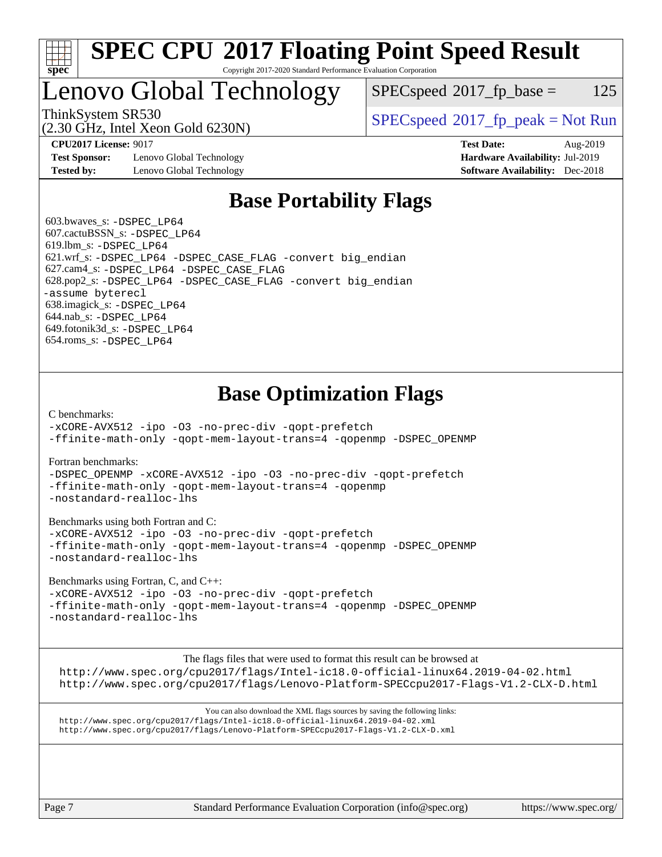

## **[SPEC CPU](http://www.spec.org/auto/cpu2017/Docs/result-fields.html#SPECCPU2017FloatingPointSpeedResult)[2017 Floating Point Speed Result](http://www.spec.org/auto/cpu2017/Docs/result-fields.html#SPECCPU2017FloatingPointSpeedResult)** Copyright 2017-2020 Standard Performance Evaluation Corporation

# Lenovo Global Technology

(2.30 GHz, Intel Xeon Gold 6230N)

 $SPEC speed^{\circ}2017\_fp\_base = 125$ 

ThinkSystem SR530<br>  $SPEC speed^{\circ}2017$  [p\_peak = Not Run

**[Test Sponsor:](http://www.spec.org/auto/cpu2017/Docs/result-fields.html#TestSponsor)** Lenovo Global Technology **[Hardware Availability:](http://www.spec.org/auto/cpu2017/Docs/result-fields.html#HardwareAvailability)** Jul-2019 **[Tested by:](http://www.spec.org/auto/cpu2017/Docs/result-fields.html#Testedby)** Lenovo Global Technology **[Software Availability:](http://www.spec.org/auto/cpu2017/Docs/result-fields.html#SoftwareAvailability)** Dec-2018

**[CPU2017 License:](http://www.spec.org/auto/cpu2017/Docs/result-fields.html#CPU2017License)** 9017 **[Test Date:](http://www.spec.org/auto/cpu2017/Docs/result-fields.html#TestDate)** Aug-2019

# **[Base Portability Flags](http://www.spec.org/auto/cpu2017/Docs/result-fields.html#BasePortabilityFlags)**

 603.bwaves\_s: [-DSPEC\\_LP64](http://www.spec.org/cpu2017/results/res2019q3/cpu2017-20190902-17579.flags.html#suite_basePORTABILITY603_bwaves_s_DSPEC_LP64) 607.cactuBSSN\_s: [-DSPEC\\_LP64](http://www.spec.org/cpu2017/results/res2019q3/cpu2017-20190902-17579.flags.html#suite_basePORTABILITY607_cactuBSSN_s_DSPEC_LP64) 619.lbm\_s: [-DSPEC\\_LP64](http://www.spec.org/cpu2017/results/res2019q3/cpu2017-20190902-17579.flags.html#suite_basePORTABILITY619_lbm_s_DSPEC_LP64) 621.wrf\_s: [-DSPEC\\_LP64](http://www.spec.org/cpu2017/results/res2019q3/cpu2017-20190902-17579.flags.html#suite_basePORTABILITY621_wrf_s_DSPEC_LP64) [-DSPEC\\_CASE\\_FLAG](http://www.spec.org/cpu2017/results/res2019q3/cpu2017-20190902-17579.flags.html#b621.wrf_s_baseCPORTABILITY_DSPEC_CASE_FLAG) [-convert big\\_endian](http://www.spec.org/cpu2017/results/res2019q3/cpu2017-20190902-17579.flags.html#user_baseFPORTABILITY621_wrf_s_convert_big_endian_c3194028bc08c63ac5d04de18c48ce6d347e4e562e8892b8bdbdc0214820426deb8554edfa529a3fb25a586e65a3d812c835984020483e7e73212c4d31a38223) 627.cam4\_s: [-DSPEC\\_LP64](http://www.spec.org/cpu2017/results/res2019q3/cpu2017-20190902-17579.flags.html#suite_basePORTABILITY627_cam4_s_DSPEC_LP64) [-DSPEC\\_CASE\\_FLAG](http://www.spec.org/cpu2017/results/res2019q3/cpu2017-20190902-17579.flags.html#b627.cam4_s_baseCPORTABILITY_DSPEC_CASE_FLAG) 628.pop2\_s: [-DSPEC\\_LP64](http://www.spec.org/cpu2017/results/res2019q3/cpu2017-20190902-17579.flags.html#suite_basePORTABILITY628_pop2_s_DSPEC_LP64) [-DSPEC\\_CASE\\_FLAG](http://www.spec.org/cpu2017/results/res2019q3/cpu2017-20190902-17579.flags.html#b628.pop2_s_baseCPORTABILITY_DSPEC_CASE_FLAG) [-convert big\\_endian](http://www.spec.org/cpu2017/results/res2019q3/cpu2017-20190902-17579.flags.html#user_baseFPORTABILITY628_pop2_s_convert_big_endian_c3194028bc08c63ac5d04de18c48ce6d347e4e562e8892b8bdbdc0214820426deb8554edfa529a3fb25a586e65a3d812c835984020483e7e73212c4d31a38223) [-assume byterecl](http://www.spec.org/cpu2017/results/res2019q3/cpu2017-20190902-17579.flags.html#user_baseFPORTABILITY628_pop2_s_assume_byterecl_7e47d18b9513cf18525430bbf0f2177aa9bf368bc7a059c09b2c06a34b53bd3447c950d3f8d6c70e3faf3a05c8557d66a5798b567902e8849adc142926523472) 638.imagick\_s: [-DSPEC\\_LP64](http://www.spec.org/cpu2017/results/res2019q3/cpu2017-20190902-17579.flags.html#suite_basePORTABILITY638_imagick_s_DSPEC_LP64) 644.nab\_s: [-DSPEC\\_LP64](http://www.spec.org/cpu2017/results/res2019q3/cpu2017-20190902-17579.flags.html#suite_basePORTABILITY644_nab_s_DSPEC_LP64) 649.fotonik3d\_s: [-DSPEC\\_LP64](http://www.spec.org/cpu2017/results/res2019q3/cpu2017-20190902-17579.flags.html#suite_basePORTABILITY649_fotonik3d_s_DSPEC_LP64) 654.roms\_s: [-DSPEC\\_LP64](http://www.spec.org/cpu2017/results/res2019q3/cpu2017-20190902-17579.flags.html#suite_basePORTABILITY654_roms_s_DSPEC_LP64)

# **[Base Optimization Flags](http://www.spec.org/auto/cpu2017/Docs/result-fields.html#BaseOptimizationFlags)**

[C benchmarks](http://www.spec.org/auto/cpu2017/Docs/result-fields.html#Cbenchmarks):

[-xCORE-AVX512](http://www.spec.org/cpu2017/results/res2019q3/cpu2017-20190902-17579.flags.html#user_CCbase_f-xCORE-AVX512) [-ipo](http://www.spec.org/cpu2017/results/res2019q3/cpu2017-20190902-17579.flags.html#user_CCbase_f-ipo) [-O3](http://www.spec.org/cpu2017/results/res2019q3/cpu2017-20190902-17579.flags.html#user_CCbase_f-O3) [-no-prec-div](http://www.spec.org/cpu2017/results/res2019q3/cpu2017-20190902-17579.flags.html#user_CCbase_f-no-prec-div) [-qopt-prefetch](http://www.spec.org/cpu2017/results/res2019q3/cpu2017-20190902-17579.flags.html#user_CCbase_f-qopt-prefetch) [-ffinite-math-only](http://www.spec.org/cpu2017/results/res2019q3/cpu2017-20190902-17579.flags.html#user_CCbase_f_finite_math_only_cb91587bd2077682c4b38af759c288ed7c732db004271a9512da14a4f8007909a5f1427ecbf1a0fb78ff2a814402c6114ac565ca162485bbcae155b5e4258871) [-qopt-mem-layout-trans=4](http://www.spec.org/cpu2017/results/res2019q3/cpu2017-20190902-17579.flags.html#user_CCbase_f-qopt-mem-layout-trans_fa39e755916c150a61361b7846f310bcdf6f04e385ef281cadf3647acec3f0ae266d1a1d22d972a7087a248fd4e6ca390a3634700869573d231a252c784941a8) [-qopenmp](http://www.spec.org/cpu2017/results/res2019q3/cpu2017-20190902-17579.flags.html#user_CCbase_qopenmp_16be0c44f24f464004c6784a7acb94aca937f053568ce72f94b139a11c7c168634a55f6653758ddd83bcf7b8463e8028bb0b48b77bcddc6b78d5d95bb1df2967) [-DSPEC\\_OPENMP](http://www.spec.org/cpu2017/results/res2019q3/cpu2017-20190902-17579.flags.html#suite_CCbase_DSPEC_OPENMP)

[Fortran benchmarks](http://www.spec.org/auto/cpu2017/Docs/result-fields.html#Fortranbenchmarks):

[-DSPEC\\_OPENMP](http://www.spec.org/cpu2017/results/res2019q3/cpu2017-20190902-17579.flags.html#suite_FCbase_DSPEC_OPENMP) [-xCORE-AVX512](http://www.spec.org/cpu2017/results/res2019q3/cpu2017-20190902-17579.flags.html#user_FCbase_f-xCORE-AVX512) [-ipo](http://www.spec.org/cpu2017/results/res2019q3/cpu2017-20190902-17579.flags.html#user_FCbase_f-ipo) [-O3](http://www.spec.org/cpu2017/results/res2019q3/cpu2017-20190902-17579.flags.html#user_FCbase_f-O3) [-no-prec-div](http://www.spec.org/cpu2017/results/res2019q3/cpu2017-20190902-17579.flags.html#user_FCbase_f-no-prec-div) [-qopt-prefetch](http://www.spec.org/cpu2017/results/res2019q3/cpu2017-20190902-17579.flags.html#user_FCbase_f-qopt-prefetch) [-ffinite-math-only](http://www.spec.org/cpu2017/results/res2019q3/cpu2017-20190902-17579.flags.html#user_FCbase_f_finite_math_only_cb91587bd2077682c4b38af759c288ed7c732db004271a9512da14a4f8007909a5f1427ecbf1a0fb78ff2a814402c6114ac565ca162485bbcae155b5e4258871) [-qopt-mem-layout-trans=4](http://www.spec.org/cpu2017/results/res2019q3/cpu2017-20190902-17579.flags.html#user_FCbase_f-qopt-mem-layout-trans_fa39e755916c150a61361b7846f310bcdf6f04e385ef281cadf3647acec3f0ae266d1a1d22d972a7087a248fd4e6ca390a3634700869573d231a252c784941a8) [-qopenmp](http://www.spec.org/cpu2017/results/res2019q3/cpu2017-20190902-17579.flags.html#user_FCbase_qopenmp_16be0c44f24f464004c6784a7acb94aca937f053568ce72f94b139a11c7c168634a55f6653758ddd83bcf7b8463e8028bb0b48b77bcddc6b78d5d95bb1df2967) [-nostandard-realloc-lhs](http://www.spec.org/cpu2017/results/res2019q3/cpu2017-20190902-17579.flags.html#user_FCbase_f_2003_std_realloc_82b4557e90729c0f113870c07e44d33d6f5a304b4f63d4c15d2d0f1fab99f5daaed73bdb9275d9ae411527f28b936061aa8b9c8f2d63842963b95c9dd6426b8a)

[Benchmarks using both Fortran and C](http://www.spec.org/auto/cpu2017/Docs/result-fields.html#BenchmarksusingbothFortranandC):

[-xCORE-AVX512](http://www.spec.org/cpu2017/results/res2019q3/cpu2017-20190902-17579.flags.html#user_CC_FCbase_f-xCORE-AVX512) [-ipo](http://www.spec.org/cpu2017/results/res2019q3/cpu2017-20190902-17579.flags.html#user_CC_FCbase_f-ipo) [-O3](http://www.spec.org/cpu2017/results/res2019q3/cpu2017-20190902-17579.flags.html#user_CC_FCbase_f-O3) [-no-prec-div](http://www.spec.org/cpu2017/results/res2019q3/cpu2017-20190902-17579.flags.html#user_CC_FCbase_f-no-prec-div) [-qopt-prefetch](http://www.spec.org/cpu2017/results/res2019q3/cpu2017-20190902-17579.flags.html#user_CC_FCbase_f-qopt-prefetch) [-ffinite-math-only](http://www.spec.org/cpu2017/results/res2019q3/cpu2017-20190902-17579.flags.html#user_CC_FCbase_f_finite_math_only_cb91587bd2077682c4b38af759c288ed7c732db004271a9512da14a4f8007909a5f1427ecbf1a0fb78ff2a814402c6114ac565ca162485bbcae155b5e4258871) [-qopt-mem-layout-trans=4](http://www.spec.org/cpu2017/results/res2019q3/cpu2017-20190902-17579.flags.html#user_CC_FCbase_f-qopt-mem-layout-trans_fa39e755916c150a61361b7846f310bcdf6f04e385ef281cadf3647acec3f0ae266d1a1d22d972a7087a248fd4e6ca390a3634700869573d231a252c784941a8) [-qopenmp](http://www.spec.org/cpu2017/results/res2019q3/cpu2017-20190902-17579.flags.html#user_CC_FCbase_qopenmp_16be0c44f24f464004c6784a7acb94aca937f053568ce72f94b139a11c7c168634a55f6653758ddd83bcf7b8463e8028bb0b48b77bcddc6b78d5d95bb1df2967) [-DSPEC\\_OPENMP](http://www.spec.org/cpu2017/results/res2019q3/cpu2017-20190902-17579.flags.html#suite_CC_FCbase_DSPEC_OPENMP) [-nostandard-realloc-lhs](http://www.spec.org/cpu2017/results/res2019q3/cpu2017-20190902-17579.flags.html#user_CC_FCbase_f_2003_std_realloc_82b4557e90729c0f113870c07e44d33d6f5a304b4f63d4c15d2d0f1fab99f5daaed73bdb9275d9ae411527f28b936061aa8b9c8f2d63842963b95c9dd6426b8a)

[Benchmarks using Fortran, C, and C++:](http://www.spec.org/auto/cpu2017/Docs/result-fields.html#BenchmarksusingFortranCandCXX)

[-xCORE-AVX512](http://www.spec.org/cpu2017/results/res2019q3/cpu2017-20190902-17579.flags.html#user_CC_CXX_FCbase_f-xCORE-AVX512) [-ipo](http://www.spec.org/cpu2017/results/res2019q3/cpu2017-20190902-17579.flags.html#user_CC_CXX_FCbase_f-ipo) [-O3](http://www.spec.org/cpu2017/results/res2019q3/cpu2017-20190902-17579.flags.html#user_CC_CXX_FCbase_f-O3) [-no-prec-div](http://www.spec.org/cpu2017/results/res2019q3/cpu2017-20190902-17579.flags.html#user_CC_CXX_FCbase_f-no-prec-div) [-qopt-prefetch](http://www.spec.org/cpu2017/results/res2019q3/cpu2017-20190902-17579.flags.html#user_CC_CXX_FCbase_f-qopt-prefetch) [-ffinite-math-only](http://www.spec.org/cpu2017/results/res2019q3/cpu2017-20190902-17579.flags.html#user_CC_CXX_FCbase_f_finite_math_only_cb91587bd2077682c4b38af759c288ed7c732db004271a9512da14a4f8007909a5f1427ecbf1a0fb78ff2a814402c6114ac565ca162485bbcae155b5e4258871) [-qopt-mem-layout-trans=4](http://www.spec.org/cpu2017/results/res2019q3/cpu2017-20190902-17579.flags.html#user_CC_CXX_FCbase_f-qopt-mem-layout-trans_fa39e755916c150a61361b7846f310bcdf6f04e385ef281cadf3647acec3f0ae266d1a1d22d972a7087a248fd4e6ca390a3634700869573d231a252c784941a8) [-qopenmp](http://www.spec.org/cpu2017/results/res2019q3/cpu2017-20190902-17579.flags.html#user_CC_CXX_FCbase_qopenmp_16be0c44f24f464004c6784a7acb94aca937f053568ce72f94b139a11c7c168634a55f6653758ddd83bcf7b8463e8028bb0b48b77bcddc6b78d5d95bb1df2967) [-DSPEC\\_OPENMP](http://www.spec.org/cpu2017/results/res2019q3/cpu2017-20190902-17579.flags.html#suite_CC_CXX_FCbase_DSPEC_OPENMP) [-nostandard-realloc-lhs](http://www.spec.org/cpu2017/results/res2019q3/cpu2017-20190902-17579.flags.html#user_CC_CXX_FCbase_f_2003_std_realloc_82b4557e90729c0f113870c07e44d33d6f5a304b4f63d4c15d2d0f1fab99f5daaed73bdb9275d9ae411527f28b936061aa8b9c8f2d63842963b95c9dd6426b8a)

[The flags files that were used to format this result can be browsed at](tmsearch)

<http://www.spec.org/cpu2017/flags/Intel-ic18.0-official-linux64.2019-04-02.html> <http://www.spec.org/cpu2017/flags/Lenovo-Platform-SPECcpu2017-Flags-V1.2-CLX-D.html>

[You can also download the XML flags sources by saving the following links:](tmsearch) <http://www.spec.org/cpu2017/flags/Intel-ic18.0-official-linux64.2019-04-02.xml> <http://www.spec.org/cpu2017/flags/Lenovo-Platform-SPECcpu2017-Flags-V1.2-CLX-D.xml>